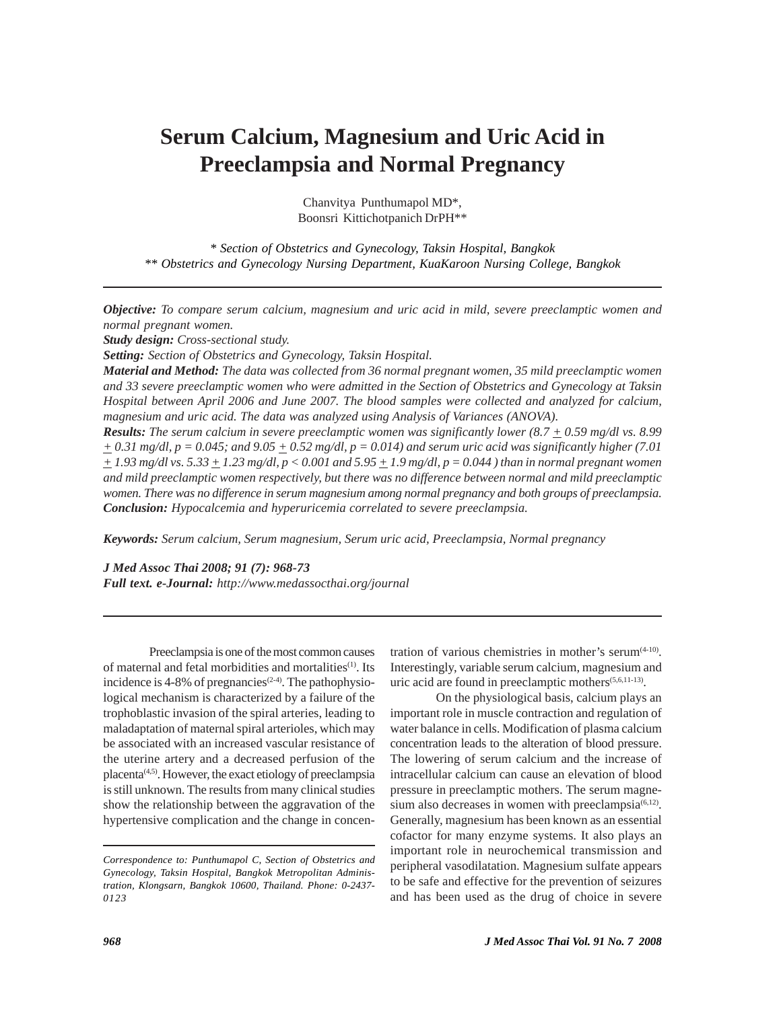# **Serum Calcium, Magnesium and Uric Acid in Preeclampsia and Normal Pregnancy**

Chanvitya Punthumapol MD\*, Boonsri Kittichotpanich DrPH\*\*

*\* Section of Obstetrics and Gynecology, Taksin Hospital, Bangkok \*\* Obstetrics and Gynecology Nursing Department, KuaKaroon Nursing College, Bangkok*

*Objective: To compare serum calcium, magnesium and uric acid in mild, severe preeclamptic women and normal pregnant women.*

*Study design: Cross-sectional study.*

*Setting: Section of Obstetrics and Gynecology, Taksin Hospital.*

*Material and Method: The data was collected from 36 normal pregnant women, 35 mild preeclamptic women and 33 severe preeclamptic women who were admitted in the Section of Obstetrics and Gynecology at Taksin Hospital between April 2006 and June 2007. The blood samples were collected and analyzed for calcium, magnesium and uric acid. The data was analyzed using Analysis of Variances (ANOVA).*

*Results: The serum calcium in severe preeclamptic women was significantly lower (8.7 + 0.59 mg/dl vs. 8.99*  $+ 0.31$  mg/dl,  $p = 0.045$ ; and  $9.05 + 0.52$  mg/dl,  $p = 0.014$ ) and serum uric acid was significantly higher (7.01 *+ 1.93 mg/dl vs. 5.33 + 1.23 mg/dl, p < 0.001 and 5.95 + 1.9 mg/dl, p = 0.044 ) than in normal pregnant women and mild preeclamptic women respectively, but there was no difference between normal and mild preeclamptic women. There was no difference in serum magnesium among normal pregnancy and both groups of preeclampsia. Conclusion: Hypocalcemia and hyperuricemia correlated to severe preeclampsia.*

*Keywords: Serum calcium, Serum magnesium, Serum uric acid, Preeclampsia, Normal pregnancy*

*J Med Assoc Thai 2008; 91 (7): 968-73 Full text. e-Journal: http://www.medassocthai.org/journal*

Preeclampsia is one of the most common causes of maternal and fetal morbidities and mortalities<sup>(1)</sup>. Its incidence is 4-8% of pregnancies<sup> $(2-4)$ </sup>. The pathophysiological mechanism is characterized by a failure of the trophoblastic invasion of the spiral arteries, leading to maladaptation of maternal spiral arterioles, which may be associated with an increased vascular resistance of the uterine artery and a decreased perfusion of the placenta(4,5). However, the exact etiology of preeclampsia is still unknown. The results from many clinical studies show the relationship between the aggravation of the hypertensive complication and the change in concentration of various chemistries in mother's serum $(4-10)$ . Interestingly, variable serum calcium, magnesium and uric acid are found in preeclamptic mothers $(5,6,11-13)$ .

On the physiological basis, calcium plays an important role in muscle contraction and regulation of water balance in cells. Modification of plasma calcium concentration leads to the alteration of blood pressure. The lowering of serum calcium and the increase of intracellular calcium can cause an elevation of blood pressure in preeclamptic mothers. The serum magnesium also decreases in women with preeclampsia $(6,12)$ . Generally, magnesium has been known as an essential cofactor for many enzyme systems. It also plays an important role in neurochemical transmission and peripheral vasodilatation. Magnesium sulfate appears to be safe and effective for the prevention of seizures and has been used as the drug of choice in severe

*Correspondence to: Punthumapol C, Section of Obstetrics and Gynecology, Taksin Hospital, Bangkok Metropolitan Administration, Klongsarn, Bangkok 10600, Thailand. Phone: 0-2437- 0123*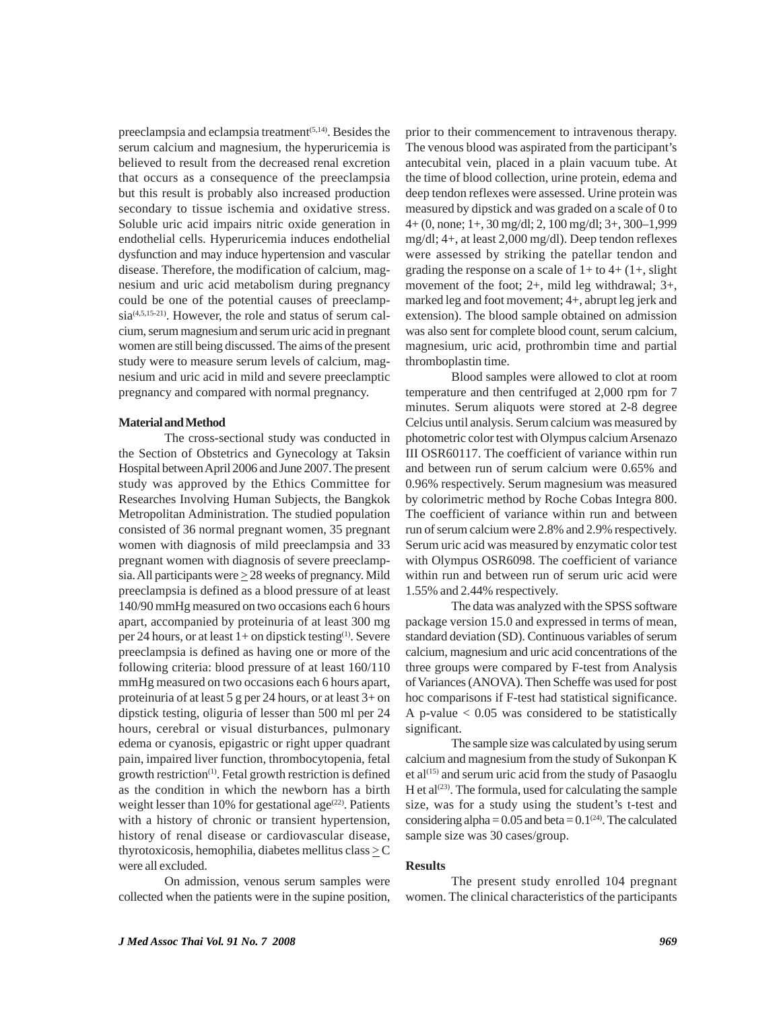preeclampsia and eclampsia treatment<sup>(5,14)</sup>. Besides the serum calcium and magnesium, the hyperuricemia is believed to result from the decreased renal excretion that occurs as a consequence of the preeclampsia but this result is probably also increased production secondary to tissue ischemia and oxidative stress. Soluble uric acid impairs nitric oxide generation in endothelial cells. Hyperuricemia induces endothelial dysfunction and may induce hypertension and vascular disease. Therefore, the modification of calcium, magnesium and uric acid metabolism during pregnancy could be one of the potential causes of preeclampsia<sup>(4,5,15-21)</sup>. However, the role and status of serum calcium, serum magnesium and serum uric acid in pregnant women are still being discussed. The aims of the present study were to measure serum levels of calcium, magnesium and uric acid in mild and severe preeclamptic pregnancy and compared with normal pregnancy.

#### **Material and Method**

The cross-sectional study was conducted in the Section of Obstetrics and Gynecology at Taksin Hospital between April 2006 and June 2007. The present study was approved by the Ethics Committee for Researches Involving Human Subjects, the Bangkok Metropolitan Administration. The studied population consisted of 36 normal pregnant women, 35 pregnant women with diagnosis of mild preeclampsia and 33 pregnant women with diagnosis of severe preeclampsia. All participants were  $\geq$  28 weeks of pregnancy. Mild preeclampsia is defined as a blood pressure of at least 140/90 mmHg measured on two occasions each 6 hours apart, accompanied by proteinuria of at least 300 mg per 24 hours, or at least 1+ on dipstick testing<sup>(1)</sup>. Severe preeclampsia is defined as having one or more of the following criteria: blood pressure of at least 160/110 mmHg measured on two occasions each 6 hours apart, proteinuria of at least 5 g per 24 hours, or at least 3+ on dipstick testing, oliguria of lesser than 500 ml per 24 hours, cerebral or visual disturbances, pulmonary edema or cyanosis, epigastric or right upper quadrant pain, impaired liver function, thrombocytopenia, fetal growth restriction<sup>(1)</sup>. Fetal growth restriction is defined as the condition in which the newborn has a birth weight lesser than 10% for gestational age<sup>(22)</sup>. Patients with a history of chronic or transient hypertension, history of renal disease or cardiovascular disease, thyrotoxicosis, hemophilia, diabetes mellitus class  $\geq C$ were all excluded.

On admission, venous serum samples were collected when the patients were in the supine position,

prior to their commencement to intravenous therapy. The venous blood was aspirated from the participant's antecubital vein, placed in a plain vacuum tube. At the time of blood collection, urine protein, edema and deep tendon reflexes were assessed. Urine protein was measured by dipstick and was graded on a scale of 0 to 4+ (0, none; 1+, 30 mg/dl; 2, 100 mg/dl; 3+, 300–1,999 mg/dl; 4+, at least 2,000 mg/dl). Deep tendon reflexes were assessed by striking the patellar tendon and grading the response on a scale of  $1+$  to  $4+$   $(1+,$  slight movement of the foot; 2+, mild leg withdrawal; 3+, marked leg and foot movement; 4+, abrupt leg jerk and extension). The blood sample obtained on admission was also sent for complete blood count, serum calcium, magnesium, uric acid, prothrombin time and partial thromboplastin time.

Blood samples were allowed to clot at room temperature and then centrifuged at 2,000 rpm for 7 minutes. Serum aliquots were stored at 2-8 degree Celcius until analysis. Serum calcium was measured by photometric color test with Olympus calcium Arsenazo III OSR60117. The coefficient of variance within run and between run of serum calcium were 0.65% and 0.96% respectively. Serum magnesium was measured by colorimetric method by Roche Cobas Integra 800. The coefficient of variance within run and between run of serum calcium were 2.8% and 2.9% respectively. Serum uric acid was measured by enzymatic color test with Olympus OSR6098. The coefficient of variance within run and between run of serum uric acid were 1.55% and 2.44% respectively.

The data was analyzed with the SPSS software package version 15.0 and expressed in terms of mean, standard deviation (SD). Continuous variables of serum calcium, magnesium and uric acid concentrations of the three groups were compared by F-test from Analysis of Variances (ANOVA). Then Scheffe was used for post hoc comparisons if F-test had statistical significance. A p-value  $< 0.05$  was considered to be statistically significant.

The sample size was calculated by using serum calcium and magnesium from the study of Sukonpan K et al $(15)$  and serum uric acid from the study of Pasaoglu H et al $(23)$ . The formula, used for calculating the sample size, was for a study using the student's t-test and considering alpha =  $0.05$  and beta =  $0.1<sup>(24)</sup>$ . The calculated sample size was 30 cases/group.

#### **Results**

The present study enrolled 104 pregnant women. The clinical characteristics of the participants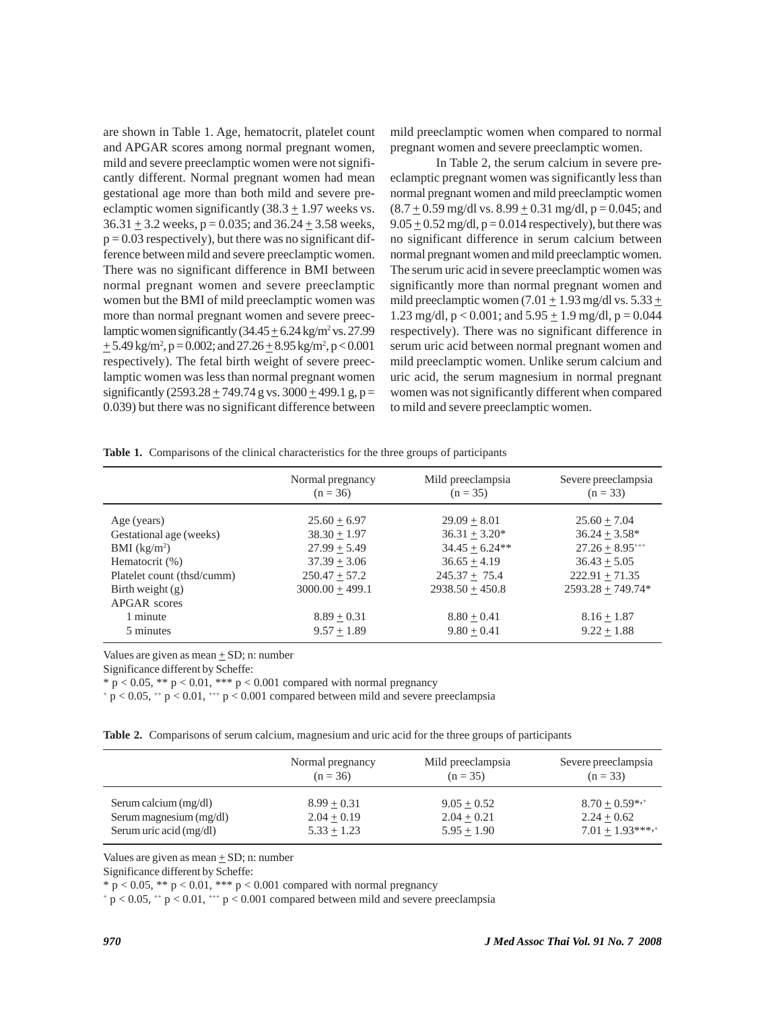are shown in Table 1. Age, hematocrit, platelet count and APGAR scores among normal pregnant women, mild and severe preeclamptic women were not significantly different. Normal pregnant women had mean gestational age more than both mild and severe preeclamptic women significantly  $(38.3 \pm 1.97)$  weeks vs.  $36.31 \pm 3.2$  weeks, p = 0.035; and  $36.24 \pm 3.58$  weeks,  $p = 0.03$  respectively), but there was no significant difference between mild and severe preeclamptic women. There was no significant difference in BMI between normal pregnant women and severe preeclamptic women but the BMI of mild preeclamptic women was more than normal pregnant women and severe preeclamptic women significantly  $(34.45 \pm 6.24 \text{ kg/m}^2 \text{ vs. } 27.99$  $\pm$  5.49 kg/m<sup>2</sup>, p = 0.002; and 27.26  $\pm$  8.95 kg/m<sup>2</sup>, p < 0.001 respectively). The fetal birth weight of severe preeclamptic women was less than normal pregnant women significantly  $(2593.28 \pm 749.74 \text{ g} \text{ vs. } 3000 \pm 499.1 \text{ g}, \text{p} =$ 0.039) but there was no significant difference between mild preeclamptic women when compared to normal pregnant women and severe preeclamptic women.

In Table 2, the serum calcium in severe preeclamptic pregnant women was significantly less than normal pregnant women and mild preeclamptic women  $(8.7 \pm 0.59 \text{ mg/dl vs. } 8.99 \pm 0.31 \text{ mg/dl}, p = 0.045; \text{and}$  $9.05 \pm 0.52$  mg/dl,  $p = 0.014$  respectively), but there was no significant difference in serum calcium between normal pregnant women and mild preeclamptic women. The serum uric acid in severe preeclamptic women was significantly more than normal pregnant women and mild preeclamptic women (7.01  $\pm$  1.93 mg/dl vs. 5.33  $\pm$ 1.23 mg/dl,  $p < 0.001$ ; and  $5.95 \pm 1.9$  mg/dl,  $p = 0.044$ respectively). There was no significant difference in serum uric acid between normal pregnant women and mild preeclamptic women. Unlike serum calcium and uric acid, the serum magnesium in normal pregnant women was not significantly different when compared to mild and severe preeclamptic women.

|  | Table 1. Comparisons of the clinical characteristics for the three groups of participants |  |  |  |  |  |  |  |  |
|--|-------------------------------------------------------------------------------------------|--|--|--|--|--|--|--|--|
|--|-------------------------------------------------------------------------------------------|--|--|--|--|--|--|--|--|

|                                                                                                                                                                        | Normal pregnancy                                                                                                                               | Mild preeclampsia                                                                                                                                 | Severe preeclampsia                                                                                                                                     |
|------------------------------------------------------------------------------------------------------------------------------------------------------------------------|------------------------------------------------------------------------------------------------------------------------------------------------|---------------------------------------------------------------------------------------------------------------------------------------------------|---------------------------------------------------------------------------------------------------------------------------------------------------------|
|                                                                                                                                                                        | $(n = 36)$                                                                                                                                     | $(n = 35)$                                                                                                                                        | $(n = 33)$                                                                                                                                              |
| Age (years)<br>Gestational age (weeks)<br>BMI $(kg/m2)$<br>Hematocrit (%)<br>Platelet count (thsd/cumm)<br>Birth weight $(g)$<br>APGAR scores<br>1 minute<br>5 minutes | $25.60 + 6.97$<br>$38.30 + 1.97$<br>$27.99 + 5.49$<br>$37.39 + 3.06$<br>$250.47 + 57.2$<br>$3000.00 + 499.1$<br>$8.89 + 0.31$<br>$9.57 + 1.89$ | $29.09 + 8.01$<br>$36.31 + 3.20*$<br>$34.45 + 6.24**$<br>$36.65 + 4.19$<br>$245.37 + 75.4$<br>$2938.50 + 450.8$<br>$8.80 + 0.41$<br>$9.80 + 0.41$ | $25.60 + 7.04$<br>$36.24 + 3.58*$<br>$27.26 + 8.95^{++}$<br>$36.43 + 5.05$<br>$222.91 + 71.35$<br>$2593.28 + 749.74*$<br>$8.16 + 1.87$<br>$9.22 + 1.88$ |

Values are given as mean  $\pm$  SD; n: number

Significance different by Scheffe:

 $* p < 0.05$ ,  $** p < 0.01$ ,  $*** p < 0.001$  compared with normal pregnancy

 $+p < 0.05$ ,  $+p < 0.01$ ,  $p < 0.001$  compared between mild and severe preeclampsia

|  | Table 2. Comparisons of serum calcium, magnesium and uric acid for the three groups of participants |  |  |  |  |  |  |  |  |  |  |
|--|-----------------------------------------------------------------------------------------------------|--|--|--|--|--|--|--|--|--|--|
|--|-----------------------------------------------------------------------------------------------------|--|--|--|--|--|--|--|--|--|--|

|                         | Normal pregnancy | Mild preeclampsia | Severe preeclampsia |
|-------------------------|------------------|-------------------|---------------------|
|                         | $(n = 36)$       | $(n = 35)$        | $(n = 33)$          |
| Serum calcium (mg/dl)   | $8.99 + 0.31$    | $9.05 + 0.52$     | $8.70 + 0.59^{*,+}$ |
| Serum magnesium (mg/dl) | $2.04 + 0.19$    | $2.04 + 0.21$     | $2.24 + 0.62$       |
| Serum uric acid (mg/dl) | $5.33 + 1.23$    | $5.95 + 1.90$     | $7.01 + 1.93***$    |

Values are given as mean  $\pm$  SD; n: number

Significance different by Scheffe:

\*  $p < 0.05$ , \*\*  $p < 0.01$ , \*\*\*  $p < 0.001$  compared with normal pregnancy

 $+p < 0.05$ ,  $+p < 0.01$ ,  $p < 0.001$  compared between mild and severe preeclampsia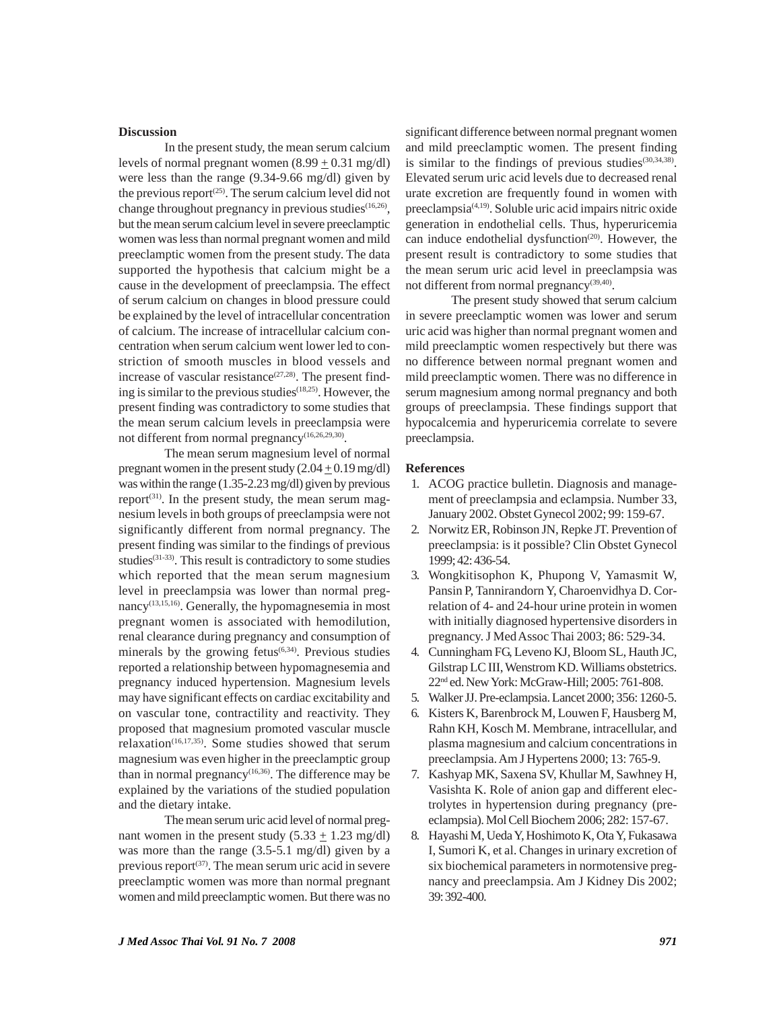#### **Discussion**

In the present study, the mean serum calcium levels of normal pregnant women  $(8.99 \pm 0.31 \text{ mg/dl})$ were less than the range (9.34-9.66 mg/dl) given by the previous report<sup> $(25)$ </sup>. The serum calcium level did not change throughout pregnancy in previous studies<sup>(16,26)</sup>, but the mean serum calcium level in severe preeclamptic women was less than normal pregnant women and mild preeclamptic women from the present study. The data supported the hypothesis that calcium might be a cause in the development of preeclampsia. The effect of serum calcium on changes in blood pressure could be explained by the level of intracellular concentration of calcium. The increase of intracellular calcium concentration when serum calcium went lower led to constriction of smooth muscles in blood vessels and increase of vascular resistance $(27,28)$ . The present finding is similar to the previous studies(18,25). However, the present finding was contradictory to some studies that the mean serum calcium levels in preeclampsia were not different from normal pregnancy $(16,26,29,30)$ .

The mean serum magnesium level of normal pregnant women in the present study  $(2.04 \pm 0.19 \text{ mg/dl})$ was within the range (1.35-2.23 mg/dl) given by previous report<sup>(31)</sup>. In the present study, the mean serum magnesium levels in both groups of preeclampsia were not significantly different from normal pregnancy. The present finding was similar to the findings of previous studies<sup>(31-33)</sup>. This result is contradictory to some studies which reported that the mean serum magnesium level in preeclampsia was lower than normal pregnancy<sup>(13,15,16)</sup>. Generally, the hypomagnesemia in most pregnant women is associated with hemodilution, renal clearance during pregnancy and consumption of minerals by the growing fetus $(6,34)$ . Previous studies reported a relationship between hypomagnesemia and pregnancy induced hypertension. Magnesium levels may have significant effects on cardiac excitability and on vascular tone, contractility and reactivity. They proposed that magnesium promoted vascular muscle relaxation<sup>(16,17,35)</sup>. Some studies showed that serum magnesium was even higher in the preeclamptic group than in normal pregnancy<sup>(16,36)</sup>. The difference may be explained by the variations of the studied population and the dietary intake.

The mean serum uric acid level of normal pregnant women in the present study  $(5.33 \pm 1.23 \text{ mg/dl})$ was more than the range (3.5-5.1 mg/dl) given by a previous report $(37)$ . The mean serum uric acid in severe preeclamptic women was more than normal pregnant women and mild preeclamptic women. But there was no

significant difference between normal pregnant women and mild preeclamptic women. The present finding is similar to the findings of previous studies $(30,34,38)$ . Elevated serum uric acid levels due to decreased renal urate excretion are frequently found in women with preeclampsia(4,19). Soluble uric acid impairs nitric oxide generation in endothelial cells. Thus, hyperuricemia can induce endothelial dysfunction<sup>(20)</sup>. However, the present result is contradictory to some studies that the mean serum uric acid level in preeclampsia was not different from normal pregnancy<sup>(39,40)</sup>.

The present study showed that serum calcium in severe preeclamptic women was lower and serum uric acid was higher than normal pregnant women and mild preeclamptic women respectively but there was no difference between normal pregnant women and mild preeclamptic women. There was no difference in serum magnesium among normal pregnancy and both groups of preeclampsia. These findings support that hypocalcemia and hyperuricemia correlate to severe preeclampsia.

#### **References**

- 1. ACOG practice bulletin. Diagnosis and management of preeclampsia and eclampsia. Number 33, January 2002. Obstet Gynecol 2002; 99: 159-67.
- 2. Norwitz ER, Robinson JN, Repke JT. Prevention of preeclampsia: is it possible? Clin Obstet Gynecol 1999; 42: 436-54.
- 3. Wongkitisophon K, Phupong V, Yamasmit W, Pansin P, Tannirandorn Y, Charoenvidhya D. Correlation of 4- and 24-hour urine protein in women with initially diagnosed hypertensive disorders in pregnancy. J Med Assoc Thai 2003; 86: 529-34.
- 4. Cunningham FG, Leveno KJ, Bloom SL, Hauth JC, Gilstrap LC III, Wenstrom KD. Williams obstetrics. 22nd ed. New York: McGraw-Hill; 2005: 761-808.
- 5. Walker JJ. Pre-eclampsia. Lancet 2000; 356: 1260-5.
- 6. Kisters K, Barenbrock M, Louwen F, Hausberg M, Rahn KH, Kosch M. Membrane, intracellular, and plasma magnesium and calcium concentrations in preeclampsia. Am J Hypertens 2000; 13: 765-9.
- 7. Kashyap MK, Saxena SV, Khullar M, Sawhney H, Vasishta K. Role of anion gap and different electrolytes in hypertension during pregnancy (preeclampsia). Mol Cell Biochem 2006; 282: 157-67.
- 8. Hayashi M, Ueda Y, Hoshimoto K, Ota Y, Fukasawa I, Sumori K, et al. Changes in urinary excretion of six biochemical parameters in normotensive pregnancy and preeclampsia. Am J Kidney Dis 2002; 39: 392-400.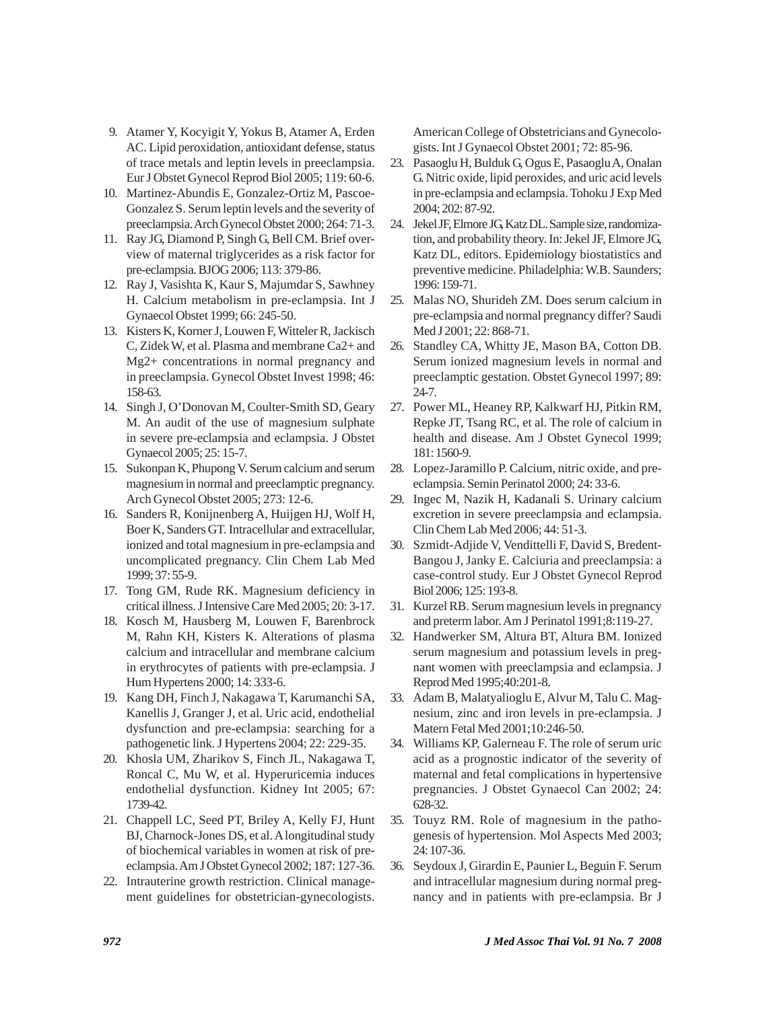- 9. Atamer Y, Kocyigit Y, Yokus B, Atamer A, Erden AC. Lipid peroxidation, antioxidant defense, status of trace metals and leptin levels in preeclampsia. Eur J Obstet Gynecol Reprod Biol 2005; 119: 60-6.
- 10. Martinez-Abundis E, Gonzalez-Ortiz M, Pascoe-Gonzalez S. Serum leptin levels and the severity of preeclampsia. Arch Gynecol Obstet 2000; 264: 71-3.
- 11. Ray JG, Diamond P, Singh G, Bell CM. Brief overview of maternal triglycerides as a risk factor for pre-eclampsia. BJOG 2006; 113: 379-86.
- 12. Ray J, Vasishta K, Kaur S, Majumdar S, Sawhney H. Calcium metabolism in pre-eclampsia. Int J Gynaecol Obstet 1999; 66: 245-50.
- 13. Kisters K, Korner J, Louwen F, Witteler R, Jackisch C, Zidek W, et al. Plasma and membrane Ca2+ and Mg2+ concentrations in normal pregnancy and in preeclampsia. Gynecol Obstet Invest 1998; 46: 158-63.
- 14. Singh J, O'Donovan M, Coulter-Smith SD, Geary M. An audit of the use of magnesium sulphate in severe pre-eclampsia and eclampsia. J Obstet Gynaecol 2005; 25: 15-7.
- 15. Sukonpan K, Phupong V. Serum calcium and serum magnesium in normal and preeclamptic pregnancy. Arch Gynecol Obstet 2005; 273: 12-6.
- 16. Sanders R, Konijnenberg A, Huijgen HJ, Wolf H, Boer K, Sanders GT. Intracellular and extracellular, ionized and total magnesium in pre-eclampsia and uncomplicated pregnancy. Clin Chem Lab Med 1999; 37: 55-9.
- 17. Tong GM, Rude RK. Magnesium deficiency in critical illness. J Intensive Care Med 2005; 20: 3-17.
- 18. Kosch M, Hausberg M, Louwen F, Barenbrock M, Rahn KH, Kisters K. Alterations of plasma calcium and intracellular and membrane calcium in erythrocytes of patients with pre-eclampsia. J Hum Hypertens 2000; 14: 333-6.
- 19. Kang DH, Finch J, Nakagawa T, Karumanchi SA, Kanellis J, Granger J, et al. Uric acid, endothelial dysfunction and pre-eclampsia: searching for a pathogenetic link. J Hypertens 2004; 22: 229-35.
- 20. Khosla UM, Zharikov S, Finch JL, Nakagawa T, Roncal C, Mu W, et al. Hyperuricemia induces endothelial dysfunction. Kidney Int 2005; 67: 1739-42.
- 21. Chappell LC, Seed PT, Briley A, Kelly FJ, Hunt BJ, Charnock-Jones DS, et al. A longitudinal study of biochemical variables in women at risk of preeclampsia. Am J Obstet Gynecol 2002; 187: 127-36.
- 22. Intrauterine growth restriction. Clinical management guidelines for obstetrician-gynecologists.

American College of Obstetricians and Gynecologists. Int J Gynaecol Obstet 2001; 72: 85-96.

- 23. Pasaoglu H, Bulduk G, Ogus E, Pasaoglu A, Onalan G. Nitric oxide, lipid peroxides, and uric acid levels in pre-eclampsia and eclampsia. Tohoku J Exp Med 2004; 202: 87-92.
- 24. Jekel JF, Elmore JG, Katz DL. Sample size, randomization, and probability theory. In: Jekel JF, Elmore JG, Katz DL, editors. Epidemiology biostatistics and preventive medicine. Philadelphia: W.B. Saunders; 1996: 159-71.
- 25. Malas NO, Shurideh ZM. Does serum calcium in pre-eclampsia and normal pregnancy differ? Saudi Med J 2001; 22: 868-71.
- 26. Standley CA, Whitty JE, Mason BA, Cotton DB. Serum ionized magnesium levels in normal and preeclamptic gestation. Obstet Gynecol 1997; 89: 24-7.
- 27. Power ML, Heaney RP, Kalkwarf HJ, Pitkin RM, Repke JT, Tsang RC, et al. The role of calcium in health and disease. Am J Obstet Gynecol 1999; 181: 1560-9.
- 28. Lopez-Jaramillo P. Calcium, nitric oxide, and preeclampsia. Semin Perinatol 2000; 24: 33-6.
- 29. Ingec M, Nazik H, Kadanali S. Urinary calcium excretion in severe preeclampsia and eclampsia. Clin Chem Lab Med 2006; 44: 51-3.
- 30. Szmidt-Adjide V, Vendittelli F, David S, Bredent-Bangou J, Janky E. Calciuria and preeclampsia: a case-control study. Eur J Obstet Gynecol Reprod Biol 2006; 125: 193-8.
- 31. Kurzel RB. Serum magnesium levels in pregnancy and preterm labor. Am J Perinatol 1991;8:119-27.
- 32. Handwerker SM, Altura BT, Altura BM. Ionized serum magnesium and potassium levels in pregnant women with preeclampsia and eclampsia. J Reprod Med 1995;40:201-8.
- 33. Adam B, Malatyalioglu E, Alvur M, Talu C. Magnesium, zinc and iron levels in pre-eclampsia. J Matern Fetal Med 2001;10:246-50.
- 34. Williams KP, Galerneau F. The role of serum uric acid as a prognostic indicator of the severity of maternal and fetal complications in hypertensive pregnancies. J Obstet Gynaecol Can 2002; 24: 628-32.
- 35. Touyz RM. Role of magnesium in the pathogenesis of hypertension. Mol Aspects Med 2003; 24: 107-36.
- 36. Seydoux J, Girardin E, Paunier L, Beguin F. Serum and intracellular magnesium during normal pregnancy and in patients with pre-eclampsia. Br J